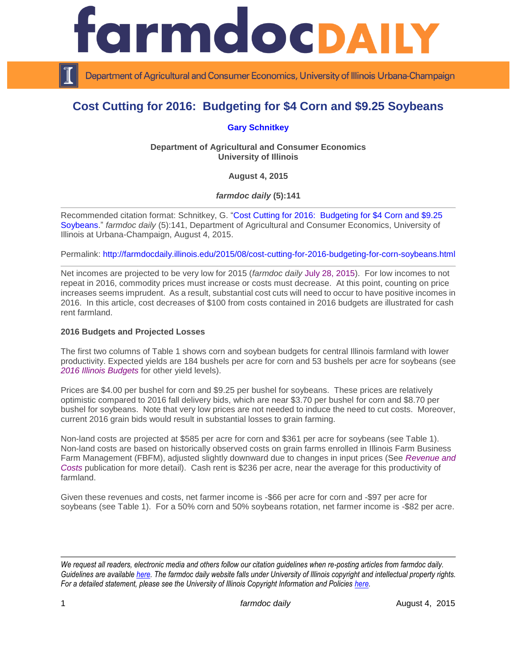

Department of Agricultural and Consumer Economics, University of Illinois Urbana-Champaign

# **Cost Cutting for 2016: Budgeting for \$4 Corn and \$9.25 Soybeans**

# **[Gary Schnitkey](http://farmdoc.illinois.edu/schnitkey/)**

**Department of Agricultural and Consumer Economics University of Illinois**

**August 4, 2015**

*farmdoc daily* **(5):141**

Recommended citation format: Schnitkey, G. ["Cost Cutting for 2016: Budgeting for \\$4 Corn and \\$9.25](http://farmdocdaily.illinois.edu/2015/08/cost-cutting-for-2016-budgeting-for-corn-soybeans.html)  [Soybeans.](http://farmdocdaily.illinois.edu/2015/08/cost-cutting-for-2016-budgeting-for-corn-soybeans.html)" *farmdoc daily* (5):141, Department of Agricultural and Consumer Economics, University of Illinois at Urbana-Champaign, August 4, 2015.

Permalink: <http://farmdocdaily.illinois.edu/2015/08/cost-cutting-for-2016-budgeting-for-corn-soybeans.html>

Net incomes are projected to be very low for 2015 (*farmdoc daily* [July 28, 2015\)](http://farmdocdaily.illinois.edu/2015/07/choices-given-low-projected-grain-farm.html). For low incomes to not repeat in 2016, commodity prices must increase or costs must decrease. At this point, counting on price increases seems imprudent. As a result, substantial cost cuts will need to occur to have positive incomes in 2016. In this article, cost decreases of \$100 from costs contained in 2016 budgets are illustrated for cash rent farmland.

#### **2016 Budgets and Projected Losses**

The first two columns of Table 1 shows corn and soybean budgets for central Illinois farmland with lower productivity. Expected yields are 184 bushels per acre for corn and 53 bushels per acre for soybeans (see *[2016 Illinois Budgets](http://farmdoc.illinois.edu/manage/2016_crop_budgets.pdf)* for other yield levels).

Prices are \$4.00 per bushel for corn and \$9.25 per bushel for soybeans. These prices are relatively optimistic compared to 2016 fall delivery bids, which are near \$3.70 per bushel for corn and \$8.70 per bushel for soybeans. Note that very low prices are not needed to induce the need to cut costs. Moreover, current 2016 grain bids would result in substantial losses to grain farming.

Non-land costs are projected at \$585 per acre for corn and \$361 per acre for soybeans (see Table 1). Non-land costs are based on historically observed costs on grain farms enrolled in Illinois Farm Business Farm Management (FBFM), adjusted slightly downward due to changes in input prices (See *[Revenue and](http://farmdoc.illinois.edu/manage/actual_projected_costs.pdf)  [Costs](http://farmdoc.illinois.edu/manage/actual_projected_costs.pdf)* publication for more detail). Cash rent is \$236 per acre, near the average for this productivity of farmland.

Given these revenues and costs, net farmer income is -\$66 per acre for corn and -\$97 per acre for soybeans (see Table 1). For a 50% corn and 50% soybeans rotation, net farmer income is -\$82 per acre.

*We request all readers, electronic media and others follow our citation guidelines when re-posting articles from farmdoc daily. Guidelines are available [here.](http://farmdocdaily.illinois.edu/citationguide.html) The farmdoc daily website falls under University of Illinois copyright and intellectual property rights. For a detailed statement, please see the University of Illinois Copyright Information and Policies [here.](http://www.cio.illinois.edu/policies/copyright/)*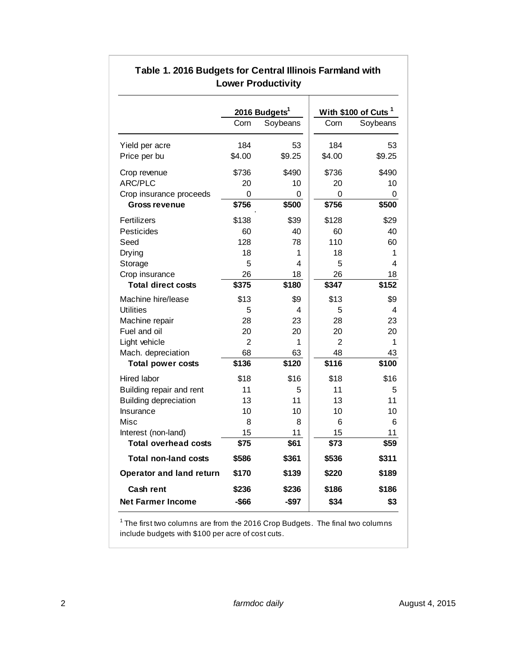|                                 | 2016 Budgets <sup>1</sup> |          | With \$100 of Cuts <sup>1</sup> |          |
|---------------------------------|---------------------------|----------|---------------------------------|----------|
|                                 | Corn                      | Soybeans | Corn                            | Soybeans |
| Yield per acre                  | 184                       | 53       | 184                             | 53       |
| Price per bu                    | \$4.00                    | \$9.25   | \$4.00                          | \$9.25   |
| Crop revenue                    | \$736                     | \$490    | \$736                           | \$490    |
| ARC/PLC                         | 20                        | 10       | 20                              | 10       |
| Crop insurance proceeds         | 0                         | 0        | $\Omega$                        | 0        |
| <b>Gross revenue</b>            | \$756                     | \$500    | \$756                           | \$500    |
| Fertilizers                     | \$138                     | \$39     | \$128                           | \$29     |
| Pesticides                      | 60                        | 40       | 60                              | 40       |
| Seed                            | 128                       | 78       | 110                             | 60       |
| Drying                          | 18                        | 1        | 18                              | 1        |
| Storage                         | 5                         | 4        | 5                               | 4        |
| Crop insurance                  | 26                        | 18       | 26                              | 18       |
| <b>Total direct costs</b>       | \$375                     | \$180    | \$347                           | \$152    |
| Machine hire/lease              | \$13                      | \$9      | \$13                            | \$9      |
| Utilities                       | 5                         | 4        | 5                               | 4        |
| Machine repair                  | 28                        | 23       | 28                              | 23       |
| Fuel and oil                    | 20                        | 20       | 20                              | 20       |
| Light vehicle                   | $\overline{2}$            | 1        | $\overline{2}$                  | 1        |
| Mach. depreciation              | 68                        | 63       | 48                              | 43       |
| <b>Total power costs</b>        | \$136                     | \$120    | \$116                           | \$100    |
| Hired labor                     | \$18                      | \$16     | \$18                            | \$16     |
| Building repair and rent        | 11                        | 5        | 11                              | 5        |
| <b>Building depreciation</b>    | 13                        | 11       | 13                              | 11       |
| Insurance                       | 10                        | 10       | 10                              | 10       |
| Misc                            | 8                         | 8        | 6                               | 6        |
| Interest (non-land)             | 15                        | 11       | 15                              | 11       |
| <b>Total overhead costs</b>     | \$75                      | \$61     | \$73                            | \$59     |
| <b>Total non-land costs</b>     | \$586                     | \$361    | \$536                           | \$311    |
| <b>Operator and land return</b> | \$170                     | \$139    | \$220                           | \$189    |
| <b>Cash rent</b>                | \$236                     | \$236    | \$186                           | \$186    |
| <b>Net Farmer Income</b>        | $-$ \$66                  | -\$97    | \$34                            | \$3      |

# **Table 1. 2016 Budgets for Central Illinois Farmland with Lower Productivity**

 $1$  The first two columns are from the 2016 Crop Budgets. The final two columns include budgets with \$100 per acre of cost cuts.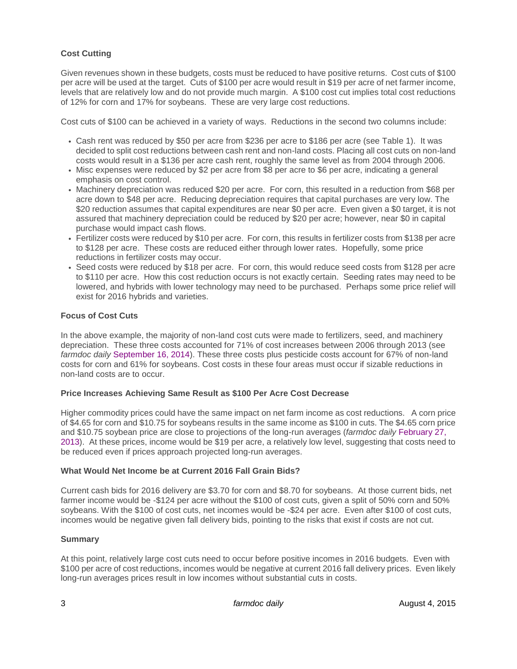# **Cost Cutting**

Given revenues shown in these budgets, costs must be reduced to have positive returns. Cost cuts of \$100 per acre will be used at the target. Cuts of \$100 per acre would result in \$19 per acre of net farmer income, levels that are relatively low and do not provide much margin. A \$100 cost cut implies total cost reductions of 12% for corn and 17% for soybeans. These are very large cost reductions.

Cost cuts of \$100 can be achieved in a variety of ways. Reductions in the second two columns include:

- Cash rent was reduced by \$50 per acre from \$236 per acre to \$186 per acre (see Table 1). It was decided to split cost reductions between cash rent and non-land costs. Placing all cost cuts on non-land costs would result in a \$136 per acre cash rent, roughly the same level as from 2004 through 2006.
- Misc expenses were reduced by \$2 per acre from \$8 per acre to \$6 per acre, indicating a general emphasis on cost control.
- Machinery depreciation was reduced \$20 per acre. For corn, this resulted in a reduction from \$68 per acre down to \$48 per acre. Reducing depreciation requires that capital purchases are very low. The \$20 reduction assumes that capital expenditures are near \$0 per acre. Even given a \$0 target, it is not assured that machinery depreciation could be reduced by \$20 per acre; however, near \$0 in capital purchase would impact cash flows.
- Fertilizer costs were reduced by \$10 per acre. For corn, this results in fertilizer costs from \$138 per acre to \$128 per acre. These costs are reduced either through lower rates. Hopefully, some price reductions in fertilizer costs may occur.
- Seed costs were reduced by \$18 per acre. For corn, this would reduce seed costs from \$128 per acre to \$110 per acre. How this cost reduction occurs is not exactly certain. Seeding rates may need to be lowered, and hybrids with lower technology may need to be purchased. Perhaps some price relief will exist for 2016 hybrids and varieties.

## **Focus of Cost Cuts**

In the above example, the majority of non-land cost cuts were made to fertilizers, seed, and machinery depreciation. These three costs accounted for 71% of cost increases between 2006 through 2013 (see *farmdoc daily* [September 16, 2014\)](http://farmdocdaily.illinois.edu/2014/09/will-non-land-costs-decrease-in-2015.html). These three costs plus pesticide costs account for 67% of non-land costs for corn and 61% for soybeans. Cost costs in these four areas must occur if sizable reductions in non-land costs are to occur.

#### **Price Increases Achieving Same Result as \$100 Per Acre Cost Decrease**

Higher commodity prices could have the same impact on net farm income as cost reductions. A corn price of \$4.65 for corn and \$10.75 for soybeans results in the same income as \$100 in cuts. The \$4.65 corn price and \$10.75 soybean price are close to projections of the long-run averages (*farmdoc daily* [February 27,](http://farmdocdaily.illinois.edu/2013/02/new-era-crop-prices-five-year-review.html)  [2013\)](http://farmdocdaily.illinois.edu/2013/02/new-era-crop-prices-five-year-review.html). At these prices, income would be \$19 per acre, a relatively low level, suggesting that costs need to be reduced even if prices approach projected long-run averages.

#### **What Would Net Income be at Current 2016 Fall Grain Bids?**

Current cash bids for 2016 delivery are \$3.70 for corn and \$8.70 for soybeans. At those current bids, net farmer income would be -\$124 per acre without the \$100 of cost cuts, given a split of 50% corn and 50% soybeans. With the \$100 of cost cuts, net incomes would be -\$24 per acre. Even after \$100 of cost cuts, incomes would be negative given fall delivery bids, pointing to the risks that exist if costs are not cut.

#### **Summary**

At this point, relatively large cost cuts need to occur before positive incomes in 2016 budgets. Even with \$100 per acre of cost reductions, incomes would be negative at current 2016 fall delivery prices. Even likely long-run averages prices result in low incomes without substantial cuts in costs.